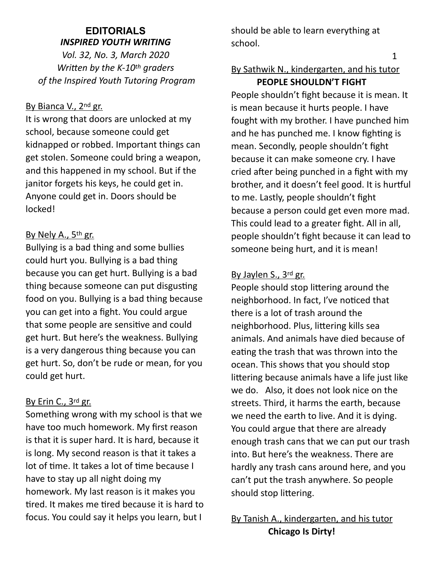## **EDITORIALS**  *INSPIRED YOUTH WRITING*

*Vol. 32, No. 3, March 2020 Written by the K-10<sup>th</sup> graders of the Inspired Youth Tutoring Program* 

### By Bianca V., 2<sup>nd</sup> gr.

It is wrong that doors are unlocked at my school, because someone could get kidnapped or robbed. Important things can get stolen. Someone could bring a weapon, and this happened in my school. But if the janitor forgets his keys, he could get in. Anyone could get in. Doors should be locked!

## By Nely A., 5<sup>th</sup> gr.

Bullying is a bad thing and some bullies could hurt you. Bullying is a bad thing because you can get hurt. Bullying is a bad thing because someone can put disgusting food on you. Bullying is a bad thing because you can get into a fight. You could argue that some people are sensitive and could get hurt. But here's the weakness. Bullying is a very dangerous thing because you can get hurt. So, don't be rude or mean, for you could get hurt.

### By Erin C., 3rd gr.

Something wrong with my school is that we have too much homework. My first reason is that it is super hard. It is hard, because it is long. My second reason is that it takes a lot of time. It takes a lot of time because I have to stay up all night doing my homework. My last reason is it makes you tired. It makes me tired because it is hard to focus. You could say it helps you learn, but I

should be able to learn everything at school.

# By Sathwik N., kindergarten, and his tutor **PEOPLE SHOULDN'T FIGHT**

People shouldn't fight because it is mean. It is mean because it hurts people. I have fought with my brother. I have punched him and he has punched me. I know fighting is mean. Secondly, people shouldn't fight because it can make someone cry. I have cried after being punched in a fight with my brother, and it doesn't feel good. It is hurtful to me. Lastly, people shouldn't fight because a person could get even more mad. This could lead to a greater fight. All in all, people shouldn't fight because it can lead to someone being hurt, and it is mean!

## By Jaylen S., 3rd gr.

People should stop littering around the neighborhood. In fact, I've noticed that there is a lot of trash around the neighborhood. Plus, littering kills sea animals. And animals have died because of eating the trash that was thrown into the ocean. This shows that you should stop littering because animals have a life just like we do. Also, it does not look nice on the streets. Third, it harms the earth, because we need the earth to live. And it is dying. You could argue that there are already enough trash cans that we can put our trash into. But here's the weakness. There are hardly any trash cans around here, and you can't put the trash anywhere. So people should stop littering.

By Tanish A., kindergarten, and his tutor **Chicago Is Dirty!** 

1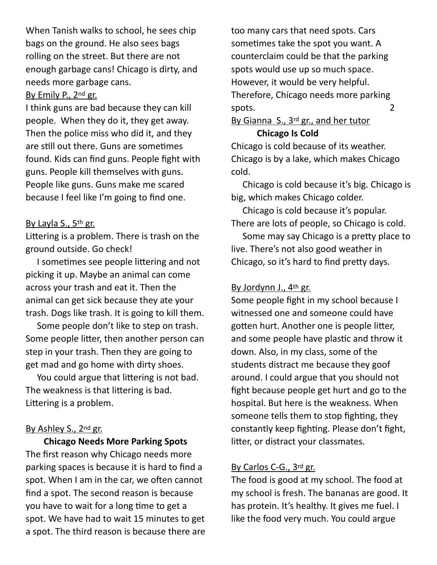When Tanish walks to school, he sees chip bags on the ground. He also sees bags rolling on the street. But there are not enough garbage cans! Chicago is dirty, and needs more garbage cans.

### By Emily P., 2nd gr.

I think guns are bad because they can kill people. When they do it, they get away. Then the police miss who did it, and they are still out there. Guns are sometimes found. Kids can find guns. People fight with guns. People kill themselves with guns. People like guns. Guns make me scared because I feel like I'm going to find one.

### By Layla S., 5th gr.

Littering is a problem. There is trash on the ground outside. Go check!

I sometimes see people littering and not picking it up. Maybe an animal can come across your trash and eat it. Then the animal can get sick because they ate your trash. Dogs like trash. It is going to kill them.

 Some people don't like to step on trash. Some people litter, then another person can step in your trash. Then they are going to get mad and go home with dirty shoes.

You could argue that littering is not bad. The weakness is that littering is bad. Littering is a problem.

### By Ashley S., 2nd gr.

 **Chicago Needs More Parking Spots**  The first reason why Chicago needs more parking spaces is because it is hard to find a spot. When I am in the car, we often cannot find a spot. The second reason is because you have to wait for a long time to get a spot. We have had to wait 15 minutes to get a spot. The third reason is because there are

too many cars that need spots. Cars sometimes take the spot you want. A counterclaim could be that the parking spots would use up so much space. However, it would be very helpful. Therefore, Chicago needs more parking spots. 2

By Gianna S., 3<sup>rd</sup> gr., and her tutor

### **Chicago Is Cold**

Chicago is cold because of its weather. Chicago is by a lake, which makes Chicago cold.

 Chicago is cold because it's big. Chicago is big, which makes Chicago colder.

 Chicago is cold because it's popular. There are lots of people, so Chicago is cold.

Some may say Chicago is a pretty place to live. There's not also good weather in Chicago, so it's hard to find pretty days.

### By Jordynn J., 4th gr.

Some people fight in my school because I witnessed one and someone could have gotten hurt. Another one is people litter, and some people have plastic and throw it down. Also, in my class, some of the students distract me because they goof around. I could argue that you should not fight because people get hurt and go to the hospital. But here is the weakness. When someone tells them to stop fighting, they constantly keep fighting. Please don't fight, litter, or distract your classmates.

### By Carlos C-G., 3rd gr.

The food is good at my school. The food at my school is fresh. The bananas are good. It has protein. It's healthy. It gives me fuel. I like the food very much. You could argue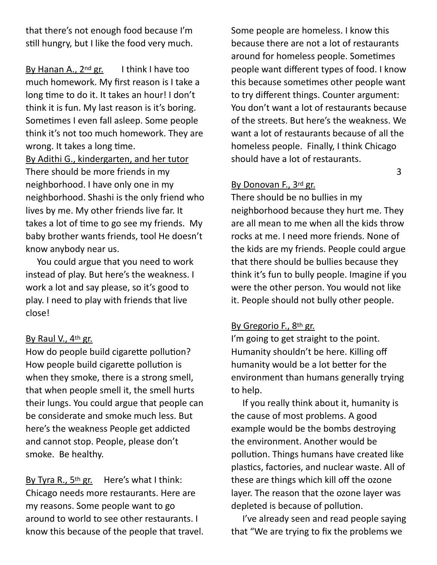that there's not enough food because I'm still hungry, but I like the food very much.

By Hanan A.,  $2^{nd}$  gr. I think I have too much homework. My first reason is I take a long time to do it. It takes an hour! I don't think it is fun. My last reason is it's boring. Sometimes I even fall asleep. Some people think it's not too much homework. They are wrong. It takes a long time.

By Adithi G., kindergarten, and her tutor There should be more friends in my neighborhood. I have only one in my neighborhood. Shashi is the only friend who lives by me. My other friends live far. It takes a lot of time to go see my friends. My baby brother wants friends, tool He doesn't know anybody near us.

 You could argue that you need to work instead of play. But here's the weakness. I work a lot and say please, so it's good to play. I need to play with friends that live close!

### By Raul V., 4th gr.

How do people build cigarette pollution? How people build cigarette pollution is when they smoke, there is a strong smell, that when people smell it, the smell hurts their lungs. You could argue that people can be considerate and smoke much less. But here's the weakness People get addicted and cannot stop. People, please don't smoke. Be healthy.

By Tyra R., 5<sup>th</sup> gr. Here's what I think: Chicago needs more restaurants. Here are my reasons. Some people want to go around to world to see other restaurants. I know this because of the people that travel.

Some people are homeless. I know this because there are not a lot of restaurants around for homeless people. Sometimes people want different types of food. I know this because sometimes other people want to try different things. Counter argument: You don't want a lot of restaurants because of the streets. But here's the weakness. We want a lot of restaurants because of all the homeless people. Finally, I think Chicago should have a lot of restaurants.

### By Donovan F., 3rd gr.

There should be no bullies in my neighborhood because they hurt me. They are all mean to me when all the kids throw rocks at me. I need more friends. None of the kids are my friends. People could argue that there should be bullies because they think it's fun to bully people. Imagine if you were the other person. You would not like it. People should not bully other people.

 $\sim$  3

### By Gregorio F., 8th gr.

I'm going to get straight to the point. Humanity shouldn't be here. Killing off humanity would be a lot better for the environment than humans generally trying to help.

 If you really think about it, humanity is the cause of most problems. A good example would be the bombs destroying the environment. Another would be pollution. Things humans have created like plastics, factories, and nuclear waste. All of these are things which kill off the ozone layer. The reason that the ozone layer was depleted is because of pollution.

 I've already seen and read people saying that "We are trying to fix the problems we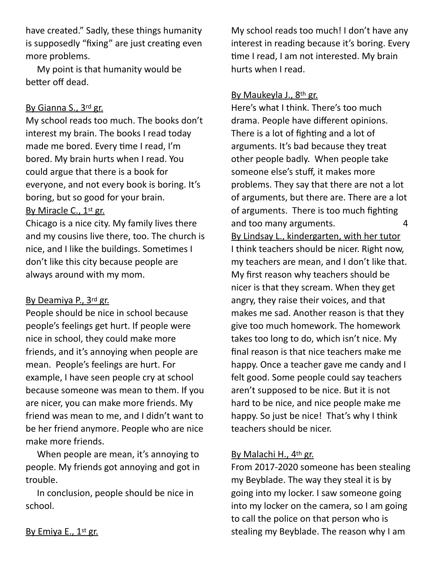have created." Sadly, these things humanity is supposedly "fixing" are just creating even more problems.

 My point is that humanity would be better off dead.

### By Gianna S., 3rd gr.

My school reads too much. The books don't interest my brain. The books I read today made me bored. Every time I read, I'm bored. My brain hurts when I read. You could argue that there is a book for everyone, and not every book is boring. It's boring, but so good for your brain. By Miracle C., 1st gr.

Chicago is a nice city. My family lives there and my cousins live there, too. The church is nice, and I like the buildings. Sometimes I don't like this city because people are always around with my mom.

### By Deamiya P., 3rd gr.

People should be nice in school because people's feelings get hurt. If people were nice in school, they could make more friends, and it's annoying when people are mean. People's feelings are hurt. For example, I have seen people cry at school because someone was mean to them. If you are nicer, you can make more friends. My friend was mean to me, and I didn't want to be her friend anymore. People who are nice make more friends.

 When people are mean, it's annoying to people. My friends got annoying and got in trouble.

 In conclusion, people should be nice in school.

My school reads too much! I don't have any interest in reading because it's boring. Every time I read, I am not interested. My brain hurts when I read.

### By Maukeyla J., 8th gr.

Here's what I think. There's too much drama. People have different opinions. There is a lot of fighting and a lot of arguments. It's bad because they treat other people badly. When people take someone else's stuff, it makes more problems. They say that there are not a lot of arguments, but there are. There are a lot of arguments. There is too much fighting and too many arguments. 4 By Lindsay L., kindergarten, with her tutor I think teachers should be nicer. Right now, my teachers are mean, and I don't like that. My first reason why teachers should be nicer is that they scream. When they get angry, they raise their voices, and that makes me sad. Another reason is that they give too much homework. The homework takes too long to do, which isn't nice. My final reason is that nice teachers make me happy. Once a teacher gave me candy and I felt good. Some people could say teachers aren't supposed to be nice. But it is not hard to be nice, and nice people make me happy. So just be nice! That's why I think teachers should be nicer.

### By Malachi H., 4th gr.

From 2017-2020 someone has been stealing my Beyblade. The way they steal it is by going into my locker. I saw someone going into my locker on the camera, so I am going to call the police on that person who is stealing my Beyblade. The reason why I am

By Emiya E., 1st gr.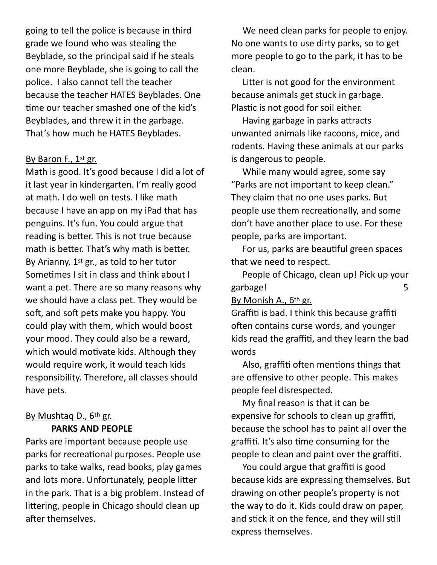going to tell the police is because in third grade we found who was stealing the Beyblade, so the principal said if he steals one more Beyblade, she is going to call the police. I also cannot tell the teacher because the teacher HATES Beyblades. One time our teacher smashed one of the kid's Beyblades, and threw it in the garbage. That's how much he HATES Beyblades.

### By Baron F., 1st gr.

Math is good. It's good because I did a lot of it last year in kindergarten. I'm really good at math. I do well on tests. I like math because I have an app on my iPad that has penguins. It's fun. You could argue that reading is better. This is not true because math is better. That's why math is better. By Arianny, 1st gr., as told to her tutor Sometimes I sit in class and think about I want a pet. There are so many reasons why we should have a class pet. They would be soft, and soft pets make you happy. You could play with them, which would boost your mood. They could also be a reward, which would motivate kids. Although they would require work, it would teach kids responsibility. Therefore, all classes should have pets.

#### By Mushtaq D., 6th gr. **PARKS AND PEOPLE**

Parks are important because people use parks for recreational purposes. People use parks to take walks, read books, play games and lots more. Unfortunately, people litter in the park. That is a big problem. Instead of littering, people in Chicago should clean up after themselves.

 We need clean parks for people to enjoy. No one wants to use dirty parks, so to get more people to go to the park, it has to be clean.

Litter is not good for the environment because animals get stuck in garbage. Plastic is not good for soil either.

Having garbage in parks attracts unwanted animals like racoons, mice, and rodents. Having these animals at our parks is dangerous to people.

 While many would agree, some say "Parks are not important to keep clean." They claim that no one uses parks. But people use them recreationally, and some don't have another place to use. For these people, parks are important.

For us, parks are beautiful green spaces that we need to respect.

 People of Chicago, clean up! Pick up your garbage! 5

By Monish A., 6th gr.

Graffiti is bad. I think this because graffiti often contains curse words, and younger kids read the graffiti, and they learn the bad words

Also, graffiti often mentions things that are offensive to other people. This makes people feel disrespected.

 My final reason is that it can be expensive for schools to clean up graffiti, because the school has to paint all over the graffiti. It's also time consuming for the people to clean and paint over the graffiti.

You could argue that graffiti is good because kids are expressing themselves. But drawing on other people's property is not the way to do it. Kids could draw on paper, and stick it on the fence, and they will still express themselves.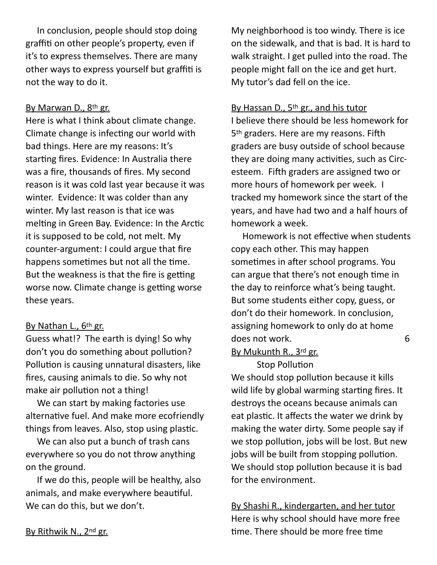In conclusion, people should stop doing graffiti on other people's property, even if it's to express themselves. There are many other ways to express yourself but graffiti is not the way to do it.

### By Marwan D., 8th gr.

Here is what I think about climate change. Climate change is infecting our world with bad things. Here are my reasons: It's starting fires. Evidence: In Australia there was a fire, thousands of fires. My second reason is it was cold last year because it was winter. Evidence: It was colder than any winter. My last reason is that ice was melting in Green Bay. Evidence: In the Arctic it is supposed to be cold, not melt. My counter-argument: I could argue that fire happens sometimes but not all the time. But the weakness is that the fire is getting worse now. Climate change is getting worse these years.

#### By Nathan L., 6th gr.

Guess what!? The earth is dying! So why don't you do something about pollution? Pollution is causing unnatural disasters, like fires, causing animals to die. So why not make air pollution not a thing!

 We can start by making factories use alternative fuel. And make more ecofriendly things from leaves. Also, stop using plastic.

 We can also put a bunch of trash cans everywhere so you do not throw anything on the ground.

 If we do this, people will be healthy, also animals, and make everywhere beautiful. We can do this, but we don't.

My neighborhood is too windy. There is ice on the sidewalk, and that is bad. It is hard to walk straight. I get pulled into the road. The people might fall on the ice and get hurt. My tutor's dad fell on the ice.

#### By Hassan D., 5<sup>th</sup> gr., and his tutor

I believe there should be less homework for 5<sup>th</sup> graders. Here are my reasons. Fifth graders are busy outside of school because they are doing many activities, such as Circesteem. Fifth graders are assigned two or more hours of homework per week. I tracked my homework since the start of the years, and have had two and a half hours of homework a week.

Homework is not effective when students copy each other. This may happen sometimes in after school programs. You can argue that there's not enough time in the day to reinforce what's being taught. But some students either copy, guess, or don't do their homework. In conclusion, assigning homework to only do at home does not work. 6

### By Mukunth R., 3rd gr.

Stop Pollution We should stop pollution because it kills wild life by global warming starting fires. It destroys the oceans because animals can eat plastic. It affects the water we drink by making the water dirty. Some people say if we stop pollution, jobs will be lost. But new jobs will be built from stopping pollution. We should stop pollution because it is bad for the environment.

By Shashi R., kindergarten, and her tutor Here is why school should have more free time. There should be more free time

By Rithwik N., 2nd gr.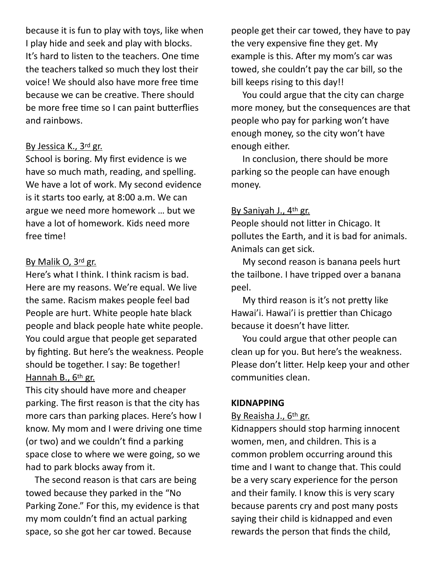because it is fun to play with toys, like when I play hide and seek and play with blocks. It's hard to listen to the teachers. One time the teachers talked so much they lost their voice! We should also have more free time because we can be creative. There should be more free time so I can paint butterflies and rainbows.

#### By Jessica K., 3rd gr.

School is boring. My first evidence is we have so much math, reading, and spelling. We have a lot of work. My second evidence is it starts too early, at 8:00 a.m. We can argue we need more homework … but we have a lot of homework. Kids need more free time!

#### By Malik O, 3rd gr.

Here's what I think. I think racism is bad. Here are my reasons. We're equal. We live the same. Racism makes people feel bad People are hurt. White people hate black people and black people hate white people. You could argue that people get separated by fighting. But here's the weakness. People should be together. I say: Be together! Hannah B., 6th gr.

This city should have more and cheaper parking. The first reason is that the city has more cars than parking places. Here's how I know. My mom and I were driving one time (or two) and we couldn't find a parking space close to where we were going, so we had to park blocks away from it.

 The second reason is that cars are being towed because they parked in the "No Parking Zone." For this, my evidence is that my mom couldn't find an actual parking space, so she got her car towed. Because

people get their car towed, they have to pay the very expensive fine they get. My example is this. After my mom's car was towed, she couldn't pay the car bill, so the bill keeps rising to this day!!

 You could argue that the city can charge more money, but the consequences are that people who pay for parking won't have enough money, so the city won't have enough either.

 In conclusion, there should be more parking so the people can have enough money.

### By Saniyah J., 4th gr.

People should not litter in Chicago. It pollutes the Earth, and it is bad for animals. Animals can get sick.

 My second reason is banana peels hurt the tailbone. I have tripped over a banana peel.

My third reason is it's not pretty like Hawai'i. Hawai'i is prettier than Chicago because it doesn't have litter.

 You could argue that other people can clean up for you. But here's the weakness. Please don't litter. Help keep your and other communities clean.

## **KIDNAPPING**

### By Reaisha J., 6th gr.

Kidnappers should stop harming innocent women, men, and children. This is a common problem occurring around this time and I want to change that. This could be a very scary experience for the person and their family. I know this is very scary because parents cry and post many posts saying their child is kidnapped and even rewards the person that finds the child,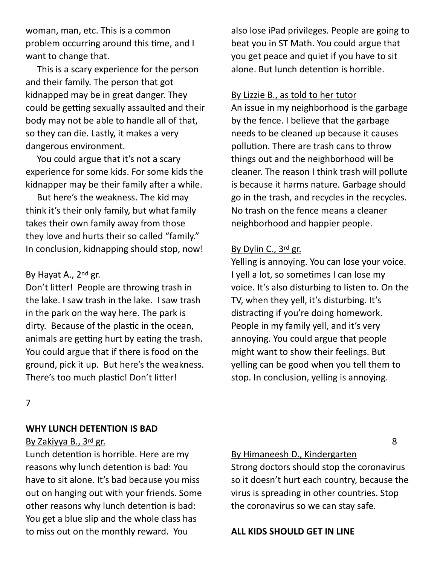woman, man, etc. This is a common problem occurring around this time, and I want to change that.

 This is a scary experience for the person and their family. The person that got kidnapped may be in great danger. They could be getting sexually assaulted and their body may not be able to handle all of that, so they can die. Lastly, it makes a very dangerous environment.

 You could argue that it's not a scary experience for some kids. For some kids the kidnapper may be their family after a while.

 But here's the weakness. The kid may think it's their only family, but what family takes their own family away from those they love and hurts their so called "family." In conclusion, kidnapping should stop, now!

#### By Hayat A., 2nd gr.

Don't litter! People are throwing trash in the lake. I saw trash in the lake. I saw trash in the park on the way here. The park is dirty. Because of the plastic in the ocean, animals are getting hurt by eating the trash. You could argue that if there is food on the ground, pick it up. But here's the weakness. There's too much plastic! Don't litter!

also lose iPad privileges. People are going to beat you in ST Math. You could argue that you get peace and quiet if you have to sit alone. But lunch detention is horrible.

#### By Lizzie B., as told to her tutor

An issue in my neighborhood is the garbage by the fence. I believe that the garbage needs to be cleaned up because it causes pollution. There are trash cans to throw things out and the neighborhood will be cleaner. The reason I think trash will pollute is because it harms nature. Garbage should go in the trash, and recycles in the recycles. No trash on the fence means a cleaner neighborhood and happier people.

#### By Dylin C., 3rd gr.

Yelling is annoying. You can lose your voice. I yell a lot, so sometimes I can lose my voice. It's also disturbing to listen to. On the TV, when they yell, it's disturbing. It's distracting if you're doing homework. People in my family yell, and it's very annoying. You could argue that people might want to show their feelings. But yelling can be good when you tell them to stop. In conclusion, yelling is annoying.

7

#### **WHY LUNCH DETENTION IS BAD**

#### By Zakiyya B., 3rd gr.

Lunch detention is horrible. Here are my reasons why lunch detention is bad: You have to sit alone. It's bad because you miss out on hanging out with your friends. Some other reasons why lunch detention is bad: You get a blue slip and the whole class has to miss out on the monthly reward. You

By Himaneesh D., Kindergarten

Strong doctors should stop the coronavirus so it doesn't hurt each country, because the virus is spreading in other countries. Stop the coronavirus so we can stay safe.

**ALL KIDS SHOULD GET IN LINE** 

8 (1992) 1994 (1994) 1995 (1996) 1996 (1996) 1997 (1998) 1997 (1998) 1997 (1998) 1997 (1998) 1997 (1998) 1997